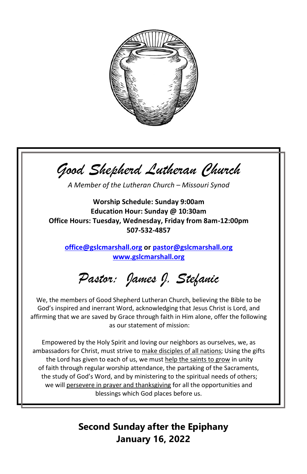

*Good Shepherd Lutheran Church*

*A Member of the Lutheran Church – Missouri Synod*

**Worship Schedule: Sunday 9:00am Education Hour: Sunday @ 10:30am Office Hours: Tuesday, Wednesday, Friday from 8am-12:00pm 507-532-4857**

**[office@gslcmarshall.org](mailto:office@gslcmarshall.org) or [pastor@gslcmarshall.org](mailto:pastor@gslcmarshall.org) [www.gslcmarshall.org](http://www.gslcmarshall.org/)**

*Pastor: James J. Stefanic*

We, the members of Good Shepherd Lutheran Church, believing the Bible to be God's inspired and inerrant Word, acknowledging that Jesus Christ is Lord, and affirming that we are saved by Grace through faith in Him alone, offer the following as our statement of mission:

Empowered by the Holy Spirit and loving our neighbors as ourselves, we, as ambassadors for Christ, must strive to make disciples of all nations; Using the gifts the Lord has given to each of us, we must help the saints to grow in unity of faith through regular worship attendance, the partaking of the Sacraments, the study of God's Word, and by ministering to the spiritual needs of others; we will persevere in prayer and thanksgiving for all the opportunities and blessings which God places before us.

> **Second Sunday after the Epiphany January 16, 2022**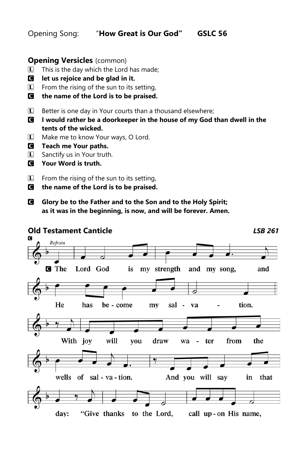Opening Song: "**How Great is Our God" GSLC 56**

## **Opening Versicles** (common)

- $\mathbb{L}$  This is the day which the Lord has made;
- C **let us rejoice and be glad in it.**
- $\mathbb{L}$  From the rising of the sun to its setting,
- C **the name of the Lord is to be praised.**
- $\Box$  Better is one day in Your courts than a thousand elsewhere;
- C **I would rather be a doorkeeper in the house of my God than dwell in the tents of the wicked.**
- L Make me to know Your ways, O Lord.
- C **Teach me Your paths.**
- $\boxed{\mathbf{L}}$  Sanctify us in Your truth.
- C **Your Word is truth.**
- **L** From the rising of the sun to its setting,
- C **the name of the Lord is to be praised.**
- C **Glory be to the Father and to the Son and to the Holy Spirit; as it was in the beginning, is now, and will be forever. Amen.**

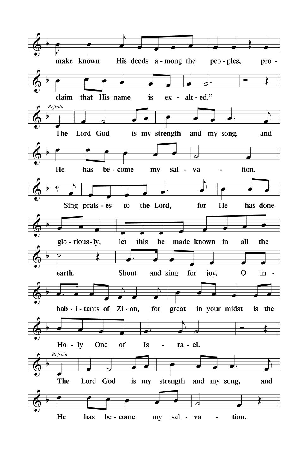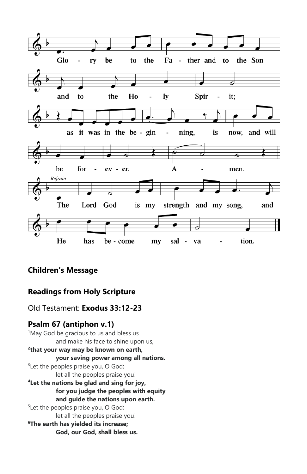

# **Children's Message**

# **Readings from Holy Scripture**

Old Testament: **Exodus 33:12-23** 

# **Psalm 67 (antiphon v.1)**

<sup>1</sup>May God be gracious to us and bless us and make his face to shine upon us, **2 that your way may be known on earth, your saving power among all nations.** <sup>3</sup> Let the peoples praise you, O God; let all the peoples praise you! **<sup>4</sup>Let the nations be glad and sing for joy, for you judge the peoples with equity and guide the nations upon earth.** <sup>5</sup> Let the peoples praise you, O God; let all the peoples praise you! **<sup>6</sup>The earth has yielded its increase;**

**God, our God, shall bless us.**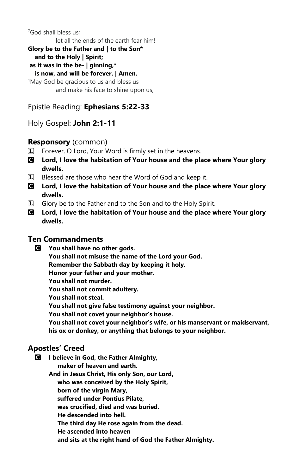<sup>7</sup>God shall bless us: let all the ends of the earth fear him! **Glory be to the Father and | to the Son\* and to the Holy | Spirit; as it was in the be- | ginning,\* is now, and will be forever. | Amen.**  <sup>1</sup>May God be gracious to us and bless us and make his face to shine upon us,

Epistle Reading: **Ephesians 5:22-33**

Holy Gospel: **John 2:1-11**

## **Responsory** (common)

- $\mathbb{L}$  Forever, O Lord, Your Word is firmly set in the heavens.
- C **Lord, I love the habitation of Your house and the place where Your glory dwells.**
- $\Box$  Blessed are those who hear the Word of God and keep it.
- C **Lord, I love the habitation of Your house and the place where Your glory dwells.**
- **L** Glory be to the Father and to the Son and to the Holy Spirit.
- C **Lord, I love the habitation of Your house and the place where Your glory dwells.**

## **Ten Commandments**

- C **You shall have no other gods.**
	- **You shall not misuse the name of the Lord your God.**
	- **Remember the Sabbath day by keeping it holy.**
	- **Honor your father and your mother.**

**You shall not murder.**

**You shall not commit adultery.**

**You shall not steal.**

**You shall not give false testimony against your neighbor.**

**You shall not covet your neighbor's house.**

**You shall not covet your neighbor's wife, or his manservant or maidservant, his ox or donkey, or anything that belongs to your neighbor.**

# **Apostles' Creed**

C **I believe in God, the Father Almighty, maker of heaven and earth. And in Jesus Christ, His only Son, our Lord, who was conceived by the Holy Spirit, born of the virgin Mary, suffered under Pontius Pilate, was crucified, died and was buried. He descended into hell. The third day He rose again from the dead. He ascended into heaven and sits at the right hand of God the Father Almighty.**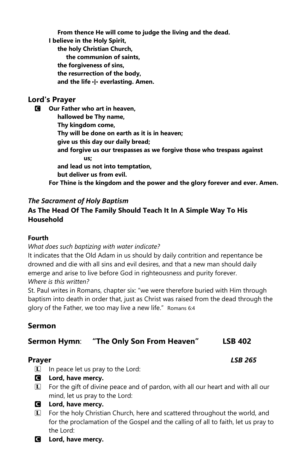**From thence He will come to judge the living and the dead. I believe in the Holy Spirit, the holy Christian Church, the communion of saints, the forgiveness of sins, the resurrection of the body, and the life** T **everlasting. Amen.**

### **Lord's Prayer**

C **Our Father who art in heaven, hallowed be Thy name, Thy kingdom come, Thy will be done on earth as it is in heaven; give us this day our daily bread; and forgive us our trespasses as we forgive those who trespass against us; and lead us not into temptation, but deliver us from evil. For Thine is the kingdom and the power and the glory forever and ever. Amen.**

### *The Sacrament of Holy Baptism*

## **As The Head Of The Family Should Teach It In A Simple Way To His Household**

### **Fourth**

*What does such baptizing with water indicate?*

It indicates that the Old Adam in us should by daily contrition and repentance be drowned and die with all sins and evil desires, and that a new man should daily emerge and arise to live before God in righteousness and purity forever. *Where is this written?*

St. Paul writes in Romans, chapter six: "we were therefore buried with Him through baptism into death in order that, just as Christ was raised from the dead through the glory of the Father, we too may live a new life." Romans 6:4

## **Sermon**

## **Sermon Hymn**: **"The Only Son From Heaven" LSB 402**

## **Prayer** *LSB 265*

- L In peace let us pray to the Lord:
- C **Lord, have mercy.**
- L For the gift of divine peace and of pardon, with all our heart and with all our mind, let us pray to the Lord:
- C **Lord, have mercy.**
- L For the holy Christian Church, here and scattered throughout the world, and for the proclamation of the Gospel and the calling of all to faith, let us pray to the Lord:
- C **Lord, have mercy.**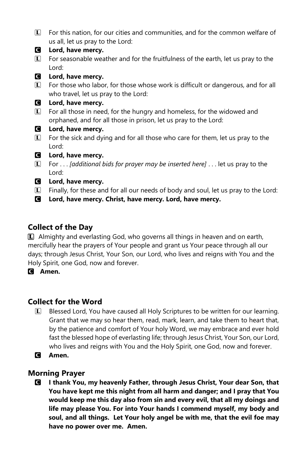- L For this nation, for our cities and communities, and for the common welfare of us all, let us pray to the Lord:
- C **Lord, have mercy.**
- $\Gamma$  For seasonable weather and for the fruitfulness of the earth, let us pray to the Lord:
- C **Lord, have mercy.**
- L For those who labor, for those whose work is difficult or dangerous, and for all who travel, let us pray to the Lord:

### C **Lord, have mercy.**

- $\Box$  For all those in need, for the hungry and homeless, for the widowed and orphaned, and for all those in prison, let us pray to the Lord:
- C **Lord, have mercy.**
- $\mathbb{L}$  For the sick and dying and for all those who care for them, let us pray to the Lord:
- C **Lord, have mercy.**
- L For . . . *[additional bids for prayer may be inserted here]* . . . let us pray to the Lord:
- C **Lord, have mercy.**
- $\Box$  Finally, for these and for all our needs of body and soul, let us pray to the Lord:
- C **Lord, have mercy. Christ, have mercy. Lord, have mercy.**

# **Collect of the Day**

L Almighty and everlasting God, who governs all things in heaven and on earth, mercifully hear the prayers of Your people and grant us Your peace through all our days; through Jesus Christ, Your Son, our Lord, who lives and reigns with You and the Holy Spirit, one God, now and forever.

C **Amen.**

# **Collect for the Word**

- L Blessed Lord, You have caused all Holy Scriptures to be written for our learning. Grant that we may so hear them, read, mark, learn, and take them to heart that, by the patience and comfort of Your holy Word, we may embrace and ever hold fast the blessed hope of everlasting life; through Jesus Christ, Your Son, our Lord, who lives and reigns with You and the Holy Spirit, one God, now and forever.
- C **Amen.**

# **Morning Prayer**

C **I thank You, my heavenly Father, through Jesus Christ, Your dear Son, that You have kept me this night from all harm and danger; and I pray that You would keep me this day also from sin and every evil, that all my doings and life may please You. For into Your hands I commend myself, my body and soul, and all things. Let Your holy angel be with me, that the evil foe may have no power over me. Amen.**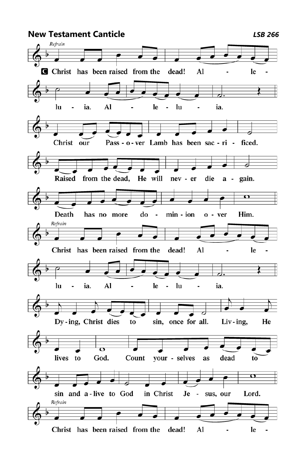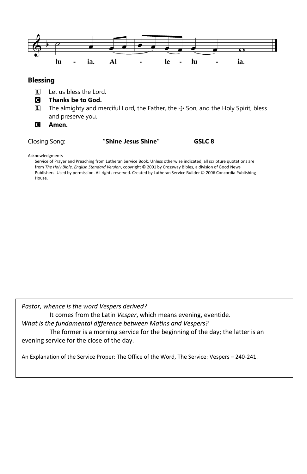

Acknowledgments

Service of Prayer and Preaching from Lutheran Service Book. Unless otherwise indicated, all scripture quotations are from *The Holy Bible, English Standard Version*, copyright © 2001 by Crossway Bibles, a division of Good News Publishers. Used by permission. All rights reserved. Created by Lutheran Service Builder © 2006 Concordia Publishing House.

*Pastor, whence is the word Vespers derived?*

It comes from the Latin *Vesper*, which means evening, eventide.

*What is the fundamental difference between Matins and Vespers?*

The former is a morning service for the beginning of the day; the latter is an evening service for the close of the day.

An Explanation of the Service Proper: The Office of the Word, The Service: Vespers – 240-241.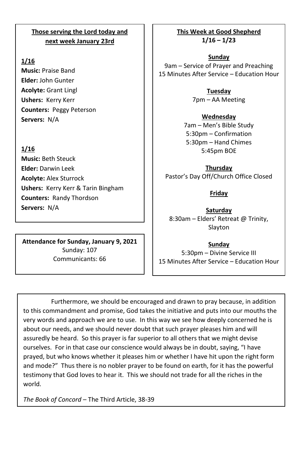## **Those serving the Lord today and next week January 23rd**

### **1/16**

**Music:** Praise Band **Elder:** John Gunter **Acolyte:** Grant Lingl **Ushers:** Kerry Kerr **Counters:** Peggy Peterson **Servers:** N/A

## **1/16**

**Music:** Beth Steuck **Elder:** Darwin Leek **Acolyte:** Alex Sturrock **Ushers:** Kerry Kerr & Tarin Bingham **Counters:** Randy Thordson **Servers:** N/A

**Attendance for Sunday, January 9, 2021** Sunday: 107 Communicants: 66

**This Week at Good Shepherd 1/16 – 1/23**

**Sunday** 9am – Service of Prayer and Preaching 15 Minutes After Service – Education Hour

> **Tuesday** 7pm – AA Meeting

**Wednesday** 7am – Men's Bible Study 5:30pm – Confirmation 5:30pm – Hand Chimes 5:45pm BOE

**Thursday** Pastor's Day Off/Church Office Closed

### **Friday**

**Saturday** 8:30am – Elders' Retreat @ Trinity, Slayton

**Sunday** 5:30pm – Divine Service III 15 Minutes After Service – Education Hour

Furthermore, we should be encouraged and drawn to pray because, in addition to this commandment and promise, God takes the initiative and puts into our mouths the very words and approach we are to use. In this way we see how deeply concerned he is about our needs, and we should never doubt that such prayer pleases him and will assuredly be heard. So this prayer is far superior to all others that we might devise ourselves. For in that case our conscience would always be in doubt, saying, "I have prayed, but who knows whether it pleases him or whether I have hit upon the right form and mode?" Thus there is no nobler prayer to be found on earth, for it has the powerful testimony that God loves to hear it. This we should not trade for all the riches in the world.

*The Book of Concord* – The Third Article, 38-39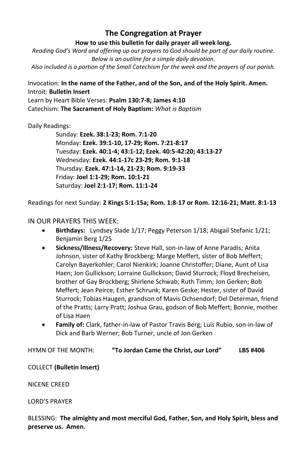## **The Congregation at Prayer**

**How to use this bulletin for daily prayer all week long.**

*Reading God's Word and offering up our prayers to God should be part of our daily routine. Below is an outline for a simple daily devotion. Also included is a portion of the Small Catechism for the week and the prayers of our parish.*

### Invocation: **In the name of the Father, and of the Son, and of the Holy Spirit. Amen.** Introit: **Bulletin Insert**

Learn by Heart Bible Verses: **Psalm 130:7-8; James 4:10** Catechism: **The Sacrament of Holy Baptism:** *What is Baptism*

Daily Readings:

Sunday: **Ezek. 38:1-23; Rom. 7:1-20** Monday: **Ezek. 39:1-10, 17-29; Rom. 7:21-8:17** Tuesday: **Ezek. 40:1-4; 43:1-12; Ezek. 40:5-42:20; 43:13-27** Wednesday: **Ezek. 44:1-17c 23-29; Rom. 9:1-18** Thursday: **Ezek. 47:1-14, 21-23; Rom. 9:19-33** Friday: **Joel 1:1-29; Rom. 10:1-21** Saturday: **Joel 2:1-17; Rom. 11:1-24**

Readings for next Sunday: **2 Kings 5:1-15a; Rom. 1:8-17 or Rom. 12:16-21; Matt. 8:1-13**

### IN OUR PRAYERS THIS WEEK:

- **Birthdays:** Lyndsey Slade 1/17; Peggy Peterson 1/18; Abigail Stefanic 1/21; Benjamin Berg 1/25
- **Sickness/Illness/Recovery:** Steve Hall, son-in-law of Anne Paradis; Anita Johnson, sister of Kathy Brockberg; Marge Meffert, sister of Bob Meffert; Carolyn Bayerkohler; Carol Nienkirk; Joanne Christoffer; Diane, Aunt of Lisa Haen; Jon Gullickson; Lorraine Gullickson; David Sturrock; Floyd Brecheisen, brother of Gay Brockberg; Shirlene Schwab; Ruth Timm; Jon Gerken; Bob Meffert; Jean Peirce; Esther Schrunk; Karen Geske; Hester, sister of David Sturrock; Tobias Haugen, grandson of Mavis Ochsendorf; Del Determan, friend of the Pratts; Larry Pratt; Joshua Grau, godson of Bob Meffert; Bonnie, mother of Lisa Haen
- **Family of:** Clark, father-in-law of Pastor Travis Berg; Luis Rubio, son-in-law of Dick and Barb Werner; Bob Turner, uncle of Jon Gerken

HYMN OF THE MONTH: **"To Jordan Came the Christ, our Lord" LBS #406**

COLLECT **(Bulletin Insert)**

NICENE CREED

LORD'S PRAYER

BLESSING: **The almighty and most merciful God, Father, Son, and Holy Spirit, bless and preserve us. Amen.**